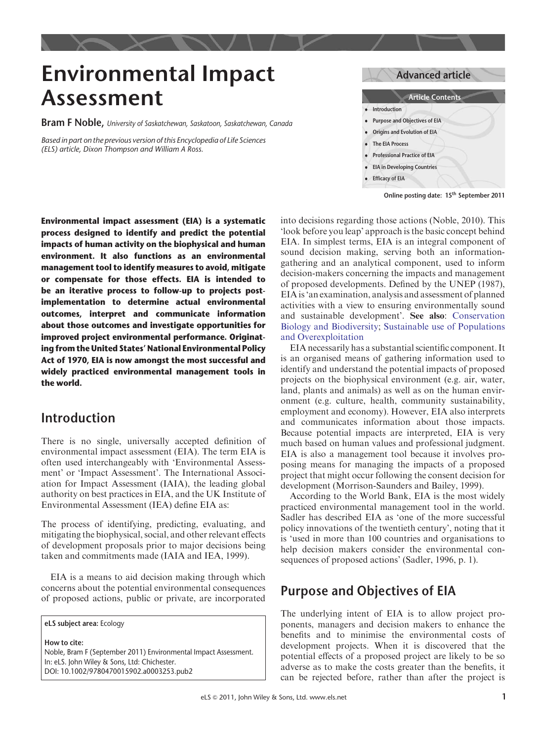# Environmental Impact Assessment

**Bram F Noble,** University of Saskatchewan, Saskatoon, Saskatchewan, Canada

Based in part on the previous version of this Encyclopedia of Life Sciences (ELS) article, Dixon Thompson and William A Ross.

Advanced article Article Contents . Introduction . Purpose and Objectives of EIA . Origins and Evolution of EIA

- . The EIA Process
- . Professional Practice of EIA
- . EIA in Developing Countries
- . Efficacy of EIA

Online posting date: 15th September 2011

Environmental impact assessment (EIA) is a systematic process designed to identify and predict the potential impacts of human activity on the biophysical and human environment. It also functions as an environmental management tool to identify measures to avoid, mitigate or compensate for those effects. EIA is intended to be an iterative process to follow-up to projects postimplementation to determine actual environmental outcomes, interpret and communicate information about those outcomes and investigate opportunities for improved project environmental performance. Originating from the United States' National Environmental Policy Act of 1970, EIA is now amongst the most successful and widely practiced environmental management tools in the world.

# Introduction

There is no single, universally accepted definition of environmental impact assessment (EIA). The term EIA is often used interchangeably with 'Environmental Assessment' or 'Impact Assessment'. The International Association for Impact Assessment (IAIA), the leading global authority on best practices in EIA, and the UK Institute of Environmental Assessment (IEA) define EIA as:

The process of identifying, predicting, evaluating, and mitigating the biophysical, social, and other relevant effects of development proposals prior to major decisions being taken and commitments made (IAIA and IEA, 1999).

EIA is a means to aid decision making through which concerns about the potential environmental consequences of proposed actions, public or private, are incorporated

eLS subject area: Ecology

How to cite: Noble, Bram F (September 2011) Environmental Impact Assessment. In: eLS. John Wiley & Sons, Ltd: Chichester. DOI: 10.1002/9780470015902.a0003253.pub2

into decisions regarding those actions (Noble, 2010). This 'look before you leap' approach is the basic concept behind EIA. In simplest terms, EIA is an integral component of sound decision making, serving both an informationgathering and an analytical component, used to inform decision-makers concerning the impacts and management of proposed developments. Defined by the UNEP (1987), EIA is 'an examination, analysis and assessment of planned activities with a view to ensuring environmentally sound and sustainable development'. See also: [Conservation](http://dx.doi.org/10.1038/npg.els.0003256) [Biology and Biodiversity;](http://dx.doi.org/10.1038/npg.els.0003256) [Sustainable use of Populations](http://dx.doi.org/10.1002/9780470015902.a0020476) [and Overexploitation](http://dx.doi.org/10.1002/9780470015902.a0020476)

EIA necessarily has a substantial scientific component. It is an organised means of gathering information used to identify and understand the potential impacts of proposed projects on the biophysical environment (e.g. air, water, land, plants and animals) as well as on the human environment (e.g. culture, health, community sustainability, employment and economy). However, EIA also interprets and communicates information about those impacts. Because potential impacts are interpreted, EIA is very much based on human values and professional judgment. EIA is also a management tool because it involves proposing means for managing the impacts of a proposed project that might occur following the consent decision for development (Morrison-Saunders and Bailey, 1999).

According to the World Bank, EIA is the most widely practiced environmental management tool in the world. Sadler has described EIA as 'one of the more successful policy innovations of the twentieth century', noting that it is 'used in more than 100 countries and organisations to help decision makers consider the environmental consequences of proposed actions' (Sadler, 1996, p. 1).

# Purpose and Objectives of EIA

The underlying intent of EIA is to allow project proponents, managers and decision makers to enhance the benefits and to minimise the environmental costs of development projects. When it is discovered that the potential effects of a proposed project are likely to be so adverse as to make the costs greater than the benefits, it can be rejected before, rather than after the project is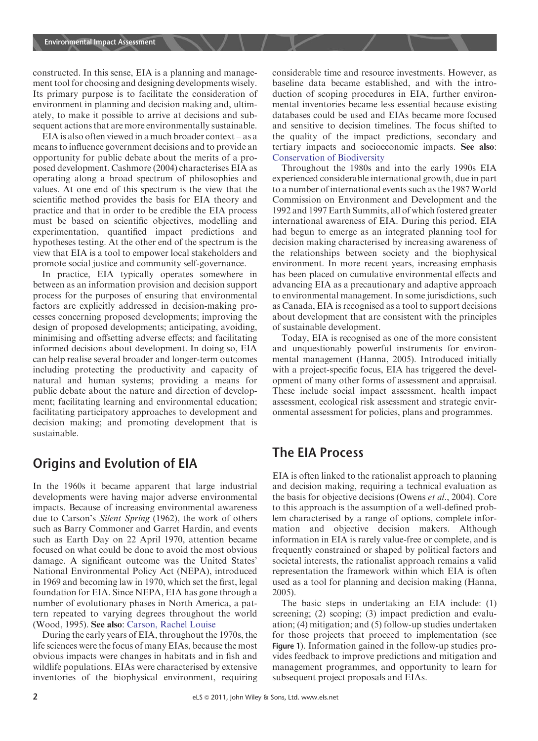constructed. In this sense, EIA is a planning and management tool for choosing and designing developments wisely. Its primary purpose is to facilitate the consideration of environment in planning and decision making and, ultimately, to make it possible to arrive at decisions and subsequent actions that are more environmentally sustainable.

EIA is also often viewed in a much broader context – as a means to influence government decisions and to provide an opportunity for public debate about the merits of a proposed development. Cashmore (2004) characterises EIA as operating along a broad spectrum of philosophies and values. At one end of this spectrum is the view that the scientific method provides the basis for EIA theory and practice and that in order to be credible the EIA process must be based on scientific objectives, modelling and experimentation, quantified impact predictions and hypotheses testing. At the other end of the spectrum is the view that EIA is a tool to empower local stakeholders and promote social justice and community self-governance.

In practice, EIA typically operates somewhere in between as an information provision and decision support process for the purposes of ensuring that environmental factors are explicitly addressed in decision-making processes concerning proposed developments; improving the design of proposed developments; anticipating, avoiding, minimising and offsetting adverse effects; and facilitating informed decisions about development. In doing so, EIA can help realise several broader and longer-term outcomes including protecting the productivity and capacity of natural and human systems; providing a means for public debate about the nature and direction of development; facilitating learning and environmental education; facilitating participatory approaches to development and decision making; and promoting development that is sustainable.

## Origins and Evolution of EIA

In the 1960s it became apparent that large industrial developments were having major adverse environmental impacts. Because of increasing environmental awareness due to Carson's Silent Spring (1962), the work of others such as Barry Commoner and Garret Hardin, and events such as Earth Day on 22 April 1970, attention became focused on what could be done to avoid the most obvious damage. A significant outcome was the United States' National Environmental Policy Act (NEPA), introduced in 1969 and becoming law in 1970, which set the first, legal foundation for EIA. Since NEPA, EIA has gone through a number of evolutionary phases in North America, a pattern repeated to varying degrees throughout the world (Wood, 1995). See also: [Carson, Rachel Louise](http://dx.doi.org/10.1038/npg.els.0003585)

During the early years of EIA, throughout the 1970s, the life sciences were the focus of many EIAs, because the most obvious impacts were changes in habitats and in fish and wildlife populations. EIAs were characterised by extensive inventories of the biophysical environment, requiring considerable time and resource investments. However, as baseline data became established, and with the introduction of scoping procedures in EIA, further environmental inventories became less essential because existing databases could be used and EIAs became more focused and sensitive to decision timelines. The focus shifted to the quality of the impact predictions, secondary and tertiary impacts and socioeconomic impacts. See also: [Conservation of Biodiversity](http://dx.doi.org/10.1038/npg.els.0003259)

Throughout the 1980s and into the early 1990s EIA experienced considerable international growth, due in part to a number of international events such as the 1987 World Commission on Environment and Development and the 1992 and 1997 Earth Summits, all of which fostered greater international awareness of EIA. During this period, EIA had begun to emerge as an integrated planning tool for decision making characterised by increasing awareness of the relationships between society and the biophysical environment. In more recent years, increasing emphasis has been placed on cumulative environmental effects and advancing EIA as a precautionary and adaptive approach to environmental management. In some jurisdictions, such as Canada, EIA is recognised as a tool to support decisions about development that are consistent with the principles of sustainable development.

Today, EIA is recognised as one of the more consistent and unquestionably powerful instruments for environmental management (Hanna, 2005). Introduced initially with a project-specific focus, EIA has triggered the development of many other forms of assessment and appraisal. These include social impact assessment, health impact assessment, ecological risk assessment and strategic environmental assessment for policies, plans and programmes.

### The EIA Process

EIA is often linked to the rationalist approach to planning and decision making, requiring a technical evaluation as the basis for objective decisions (Owens et al., 2004). Core to this approach is the assumption of a well-defined problem characterised by a range of options, complete information and objective decision makers. Although information in EIA is rarely value-free or complete, and is frequently constrained or shaped by political factors and societal interests, the rationalist approach remains a valid representation the framework within which EIA is often used as a tool for planning and decision making (Hanna, 2005).

The basic steps in undertaking an EIA include: (1) screening; (2) scoping; (3) impact prediction and evaluation; (4) mitigation; and (5) follow-up studies undertaken for those projects that proceed to implementation (see Figure 1). Information gained in the follow-up studies provides feedback to improve predictions and mitigation and management programmes, and opportunity to learn for subsequent project proposals and EIAs.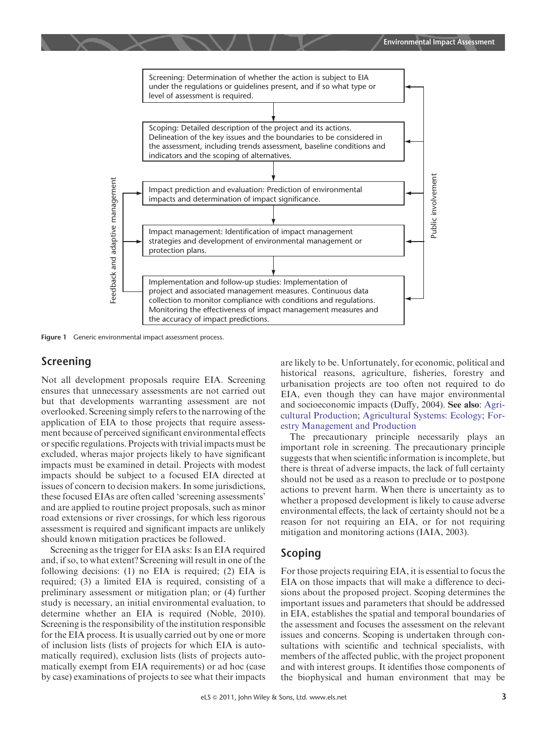

Figure 1 Generic environmental impact assessment process.

### Screening

Not all development proposals require EIA. Screening ensures that unnecessary assessments are not carried out but that developments warranting assessment are not overlooked. Screening simply refers to the narrowing of the application of EIA to those projects that require assessment because of perceived significant environmental effects or specific regulations. Projects with trivial impacts must be excluded, wheras major projects likely to have significant impacts must be examined in detail. Projects with modest impacts should be subject to a focused EIA directed at issues of concern to decision makers. In some jurisdictions, these focused EIAs are often called 'screening assessments' and are applied to routine project proposals, such as minor road extensions or river crossings, for which less rigorous assessment is required and significant impacts are unlikely should known mitigation practices be followed.

Screening as the trigger for EIA asks: Is an EIA required and, if so, to what extent? Screening will result in one of the following decisions: (1) no EIA is required; (2) EIA is required; (3) a limited EIA is required, consisting of a preliminary assessment or mitigation plan; or (4) further study is necessary, an initial environmental evaluation, to determine whether an EIA is required (Noble, 2010). Screening is the responsibility of the institution responsible for the EIA process. It is usually carried out by one or more of inclusion lists (lists of projects for which EIA is automatically required), exclusion lists (lists of projects automatically exempt from EIA requirements) or ad hoc (case by case) examinations of projects to see what their impacts are likely to be. Unfortunately, for economic, political and historical reasons, agriculture, fisheries, forestry and urbanisation projects are too often not required to do EIA, even though they can have major environmental and socioeconomic impacts (Duffy, 2004). See also: [Agri](http://dx.doi.org/10.1038/npg.els.0003254)[cultural Production](http://dx.doi.org/10.1038/npg.els.0003254); [Agricultural Systems: Ecology;](http://dx.doi.org/10.1038/npg.els.0003250) [For](http://dx.doi.org/10.1038/npg.els.0003293)[estry Management and Production](http://dx.doi.org/10.1038/npg.els.0003293)

The precautionary principle necessarily plays an important role in screening. The precautionary principle suggests that when scientific information is incomplete, but there is threat of adverse impacts, the lack of full certainty should not be used as a reason to preclude or to postpone actions to prevent harm. When there is uncertainty as to whether a proposed development is likely to cause adverse environmental effects, the lack of certainty should not be a reason for not requiring an EIA, or for not requiring mitigation and monitoring actions (IAIA, 2003).

#### Scoping

For those projects requiring EIA, it is essential to focus the EIA on those impacts that will make a difference to decisions about the proposed project. Scoping determines the important issues and parameters that should be addressed in EIA, establishes the spatial and temporal boundaries of the assessment and focuses the assessment on the relevant issues and concerns. Scoping is undertaken through consultations with scientific and technical specialists, with members of the affected public, with the project proponent and with interest groups. It identifies those components of the biophysical and human environment that may be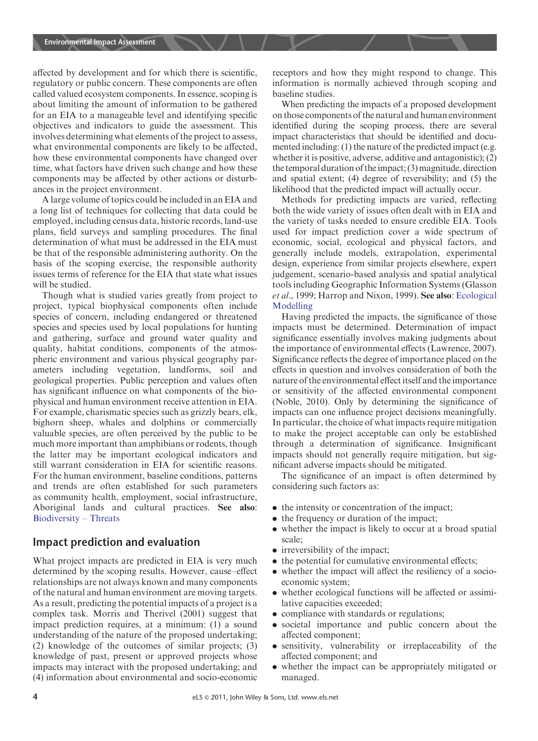affected by development and for which there is scientific, regulatory or public concern. These components are often called valued ecosystem components. In essence, scoping is about limiting the amount of information to be gathered for an EIA to a manageable level and identifying specific objectives and indicators to guide the assessment. This involves determining what elements of the project to assess, what environmental components are likely to be affected, how these environmental components have changed over time, what factors have driven such change and how these components may be affected by other actions or disturbances in the project environment.

A large volume of topics could be included in an EIA and a long list of techniques for collecting that data could be employed, including census data, historic records, land-use plans, field surveys and sampling procedures. The final determination of what must be addressed in the EIA must be that of the responsible administering authority. On the basis of the scoping exercise, the responsible authority issues terms of reference for the EIA that state what issues will be studied.

Though what is studied varies greatly from project to project, typical biophysical components often include species of concern, including endangered or threatened species and species used by local populations for hunting and gathering, surface and ground water quality and quality, habitat conditions, components of the atmospheric environment and various physical geography parameters including vegetation, landforms, soil and geological properties. Public perception and values often has significant influence on what components of the biophysical and human environment receive attention in EIA. For example, charismatic species such as grizzly bears, elk, bighorn sheep, whales and dolphins or commercially valuable species, are often perceived by the public to be much more important than amphibians or rodents, though the latter may be important ecological indicators and still warrant consideration in EIA for scientific reasons. For the human environment, baseline conditions, patterns and trends are often established for such parameters as community health, employment, social infrastructure, Aboriginal lands and cultural practices. See also: [Biodiversity – Threats](http://dx.doi.org/10.1038/npg.els.0003257)

#### Impact prediction and evaluation

What project impacts are predicted in EIA is very much determined by the scoping results. However, cause–effect relationships are not always known and many components of the natural and human environment are moving targets. As a result, predicting the potential impacts of a project is a complex task. Morris and Therivel (2001) suggest that impact prediction requires, at a minimum: (1) a sound understanding of the nature of the proposed undertaking; (2) knowledge of the outcomes of similar projects; (3) knowledge of past, present or approved projects whose impacts may interact with the proposed undertaking; and (4) information about environmental and socio-economic receptors and how they might respond to change. This information is normally achieved through scoping and baseline studies.

When predicting the impacts of a proposed development on those components of the natural and human environment identified during the scoping process, there are several impact characteristics that should be identified and documented including: (1) the nature of the predicted impact (e.g. whether it is positive, adverse, additive and antagonistic); (2) the temporal duration of theimpact; (3) magnitude, direction and spatial extent; (4) degree of reversibility; and (5) the likelihood that the predicted impact will actually occur.

Methods for predicting impacts are varied, reflecting both the wide variety of issues often dealt with in EIA and the variety of tasks needed to ensure credible EIA. Tools used for impact prediction cover a wide spectrum of economic, social, ecological and physical factors, and generally include models, extrapolation, experimental design, experience from similar projects elsewhere, expert judgement, scenario-based analysis and spatial analytical tools including Geographic Information Systems (Glasson et al., 1999; Harrop and Nixon, 1999). See also: [Ecological](http://dx.doi.org/10.1038/npg.els.0003270) [Modelling](http://dx.doi.org/10.1038/npg.els.0003270)

Having predicted the impacts, the significance of those impacts must be determined. Determination of impact significance essentially involves making judgments about the importance of environmental effects (Lawrence, 2007). Significance reflects the degree of importance placed on the effects in question and involves consideration of both the nature of the environmental effect itself and the importance or sensitivity of the affected environmental component (Noble, 2010). Only by determining the significance of impacts can one influence project decisions meaningfully. In particular, the choice of what impacts require mitigation to make the project acceptable can only be established through a determination of significance. Insignificant impacts should not generally require mitigation, but significant adverse impacts should be mitigated.

The significance of an impact is often determined by considering such factors as:

- . the intensity or concentration of the impact;
- the frequency or duration of the impact;
- . whether the impact is likely to occur at a broad spatial scale;
- irreversibility of the impact;
- the potential for cumulative environmental effects:
- . whether the impact will affect the resiliency of a socioeconomic system;
- . whether ecological functions will be affected or assimilative capacities exceeded;
- . compliance with standards or regulations;
- . societal importance and public concern about the affected component;
- . sensitivity, vulnerability or irreplaceability of the affected component; and
- . whether the impact can be appropriately mitigated or managed.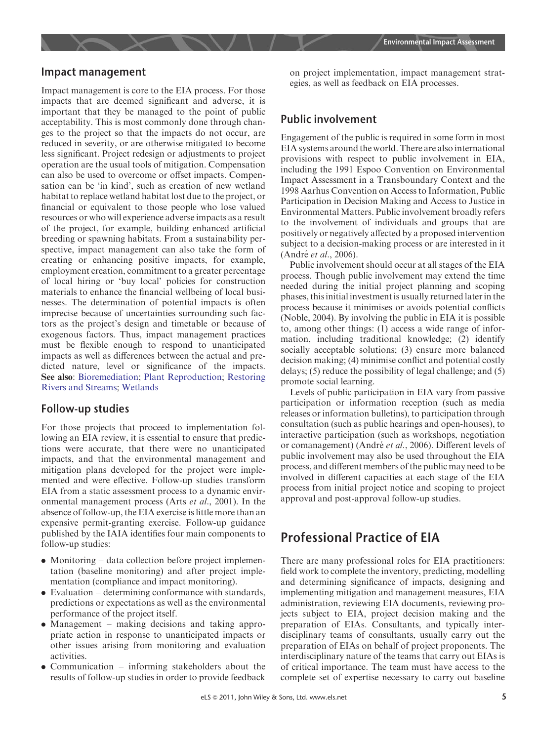

#### Impact management

Impact management is core to the EIA process. For those impacts that are deemed significant and adverse, it is important that they be managed to the point of public acceptability. This is most commonly done through changes to the project so that the impacts do not occur, are reduced in severity, or are otherwise mitigated to become less significant. Project redesign or adjustments to project operation are the usual tools of mitigation. Compensation can also be used to overcome or offset impacts. Compensation can be 'in kind', such as creation of new wetland habitat to replace wetland habitat lost due to the project, or financial or equivalent to those people who lose valued resources or who will experience adverse impacts as a result of the project, for example, building enhanced artificial breeding or spawning habitats. From a sustainability perspective, impact management can also take the form of creating or enhancing positive impacts, for example, employment creation, commitment to a greater percentage of local hiring or 'buy local' policies for construction materials to enhance the financial wellbeing of local businesses. The determination of potential impacts is often imprecise because of uncertainties surrounding such factors as the project's design and timetable or because of exogenous factors. Thus, impact management practices must be flexible enough to respond to unanticipated impacts as well as differences between the actual and predicted nature, level or significance of the impacts. See also: [Bioremediation](http://dx.doi.org/10.1038/npg.els.0000470); [Plant Reproduction](http://dx.doi.org/10.1038/npg.els.0002046); [Restoring](http://dx.doi.org/10.1002/9780470015902.a0020148) [Rivers and Streams;](http://dx.doi.org/10.1002/9780470015902.a0020148) [Wetlands](http://dx.doi.org/10.1038/npg.els.0003469)

#### Follow-up studies

For those projects that proceed to implementation following an EIA review, it is essential to ensure that predictions were accurate, that there were no unanticipated impacts, and that the environmental management and mitigation plans developed for the project were implemented and were effective. Follow-up studies transform EIA from a static assessment process to a dynamic environmental management process (Arts et al., 2001). In the absence of follow-up, the EIA exercise is little more than an expensive permit-granting exercise. Follow-up guidance published by the IAIA identifies four main components to follow-up studies:

- . Monitoring data collection before project implementation (baseline monitoring) and after project implementation (compliance and impact monitoring).
- . Evaluation determining conformance with standards, predictions or expectations as well as the environmental performance of the project itself.
- . Management making decisions and taking appropriate action in response to unanticipated impacts or other issues arising from monitoring and evaluation activities.
- . Communication informing stakeholders about the results of follow-up studies in order to provide feedback

on project implementation, impact management strategies, as well as feedback on EIA processes.

#### Public involvement

Engagement of the public is required in some form in most EIA systems around the world. There are also international provisions with respect to public involvement in EIA, including the 1991 Espoo Convention on Environmental Impact Assessment in a Transboundary Context and the 1998 Aarhus Convention on Access to Information, Public Participation in Decision Making and Access to Justice in Environmental Matters. Public involvement broadly refers to the involvement of individuals and groups that are positively or negatively affected by a proposed intervention subject to a decision-making process or are interested in it (André et al., 2006).

Public involvement should occur at all stages of the EIA process. Though public involvement may extend the time needed during the initial project planning and scoping phases, this initial investment is usually returned later in the process because it minimises or avoids potential conflicts (Noble, 2004). By involving the public in EIA it is possible to, among other things: (1) access a wide range of information, including traditional knowledge; (2) identify socially acceptable solutions; (3) ensure more balanced decision making; (4) minimise conflict and potential costly delays; (5) reduce the possibility of legal challenge; and (5) promote social learning.

Levels of public participation in EIA vary from passive participation or information reception (such as media releases or information bulletins), to participation through consultation (such as public hearings and open-houses), to interactive participation (such as workshops, negotiation or comanagement) (André et al., 2006). Different levels of public involvement may also be used throughout the EIA process, and different members of the public may need to be involved in different capacities at each stage of the EIA process from initial project notice and scoping to project approval and post-approval follow-up studies.

## Professional Practice of EIA

There are many professional roles for EIA practitioners: field work to complete the inventory, predicting, modelling and determining significance of impacts, designing and implementing mitigation and management measures, EIA administration, reviewing EIA documents, reviewing projects subject to EIA, project decision making and the preparation of EIAs. Consultants, and typically interdisciplinary teams of consultants, usually carry out the preparation of EIAs on behalf of project proponents. The interdisciplinary nature of the teams that carry out EIAs is of critical importance. The team must have access to the complete set of expertise necessary to carry out baseline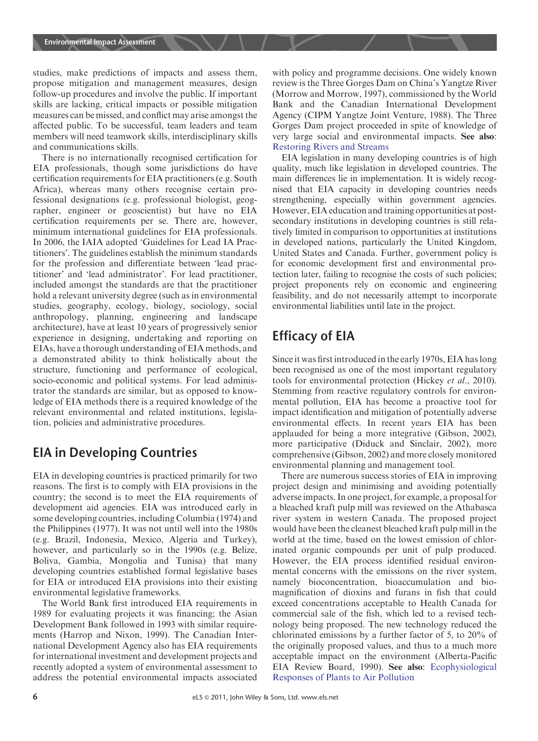studies, make predictions of impacts and assess them, propose mitigation and management measures, design follow-up procedures and involve the public. If important skills are lacking, critical impacts or possible mitigation measures can be missed, and conflict may arise amongst the affected public. To be successful, team leaders and team members will need teamwork skills, interdisciplinary skills and communications skills.

There is no internationally recognised certification for EIA professionals, though some jurisdictions do have certification requirements for EIA practitioners (e.g. South Africa), whereas many others recognise certain professional designations (e.g. professional biologist, geographer, engineer or geoscientist) but have no EIA certification requirements per se. There are, however, minimum international guidelines for EIA professionals. In 2006, the IAIA adopted 'Guidelines for Lead IA Practitioners'. The guidelines establish the minimum standards for the profession and differentiate between 'lead practitioner' and 'lead administrator'. For lead practitioner, included amongst the standards are that the practitioner hold a relevant university degree (such as in environmental studies, geography, ecology, biology, sociology, social anthropology, planning, engineering and landscape architecture), have at least 10 years of progressively senior experience in designing, undertaking and reporting on EIAs, have a thorough understanding of EIA methods, and a demonstrated ability to think holistically about the structure, functioning and performance of ecological, socio-economic and political systems. For lead administrator the standards are similar, but as opposed to knowledge of EIA methods there is a required knowledge of the relevant environmental and related institutions, legislation, policies and administrative procedures.

## EIA in Developing Countries

EIA in developing countries is practiced primarily for two reasons. The first is to comply with EIA provisions in the country; the second is to meet the EIA requirements of development aid agencies. EIA was introduced early in some developing countries, including Columbia (1974) and the Philippines (1977). It was not until well into the 1980s (e.g. Brazil, Indonesia, Mexico, Algeria and Turkey), however, and particularly so in the 1990s (e.g. Belize, Boliva, Gambia, Mongolia and Tunisa) that many developing countries established formal legislative bases for EIA or introduced EIA provisions into their existing environmental legislative frameworks.

The World Bank first introduced EIA requirements in 1989 for evaluating projects it was financing; the Asian Development Bank followed in 1993 with similar requirements (Harrop and Nixon, 1999). The Canadian International Development Agency also has EIA requirements for international investment and development projects and recently adopted a system of environmental assessment to address the potential environmental impacts associated with policy and programme decisions. One widely known review is the Three Gorges Dam on China's Yangtze River (Morrow and Morrow, 1997), commissioned by the World Bank and the Canadian International Development Agency (CIPM Yangtze Joint Venture, 1988). The Three Gorges Dam project proceeded in spite of knowledge of very large social and environmental impacts. See also: [Restoring Rivers and Streams](http://dx.doi.org/10.1002/9780470015902.a0020148)

EIA legislation in many developing countries is of high quality, much like legislation in developed countries. The main differences lie in implementation. It is widely recognised that EIA capacity in developing countries needs strengthening, especially within government agencies. However, EIA education and training opportunities at postsecondary institutions in developing countries is still relatively limited in comparison to opportunities at institutions in developed nations, particularly the United Kingdom, United States and Canada. Further, government policy is for economic development first and environmental protection later, failing to recognise the costs of such policies; project proponents rely on economic and engineering feasibility, and do not necessarily attempt to incorporate environmental liabilities until late in the project.

# Efficacy of EIA

Since it was first introduced in the early 1970s, EIA has long been recognised as one of the most important regulatory tools for environmental protection (Hickey et al., 2010). Stemming from reactive regulatory controls for environmental pollution, EIA has become a proactive tool for impact identification and mitigation of potentially adverse environmental effects. In recent years EIA has been applauded for being a more integrative (Gibson, 2002), more participative (Diduck and Sinclair, 2002), more comprehensive (Gibson, 2002) and more closely monitored environmental planning and management tool.

There are numerous success stories of EIA in improving project design and minimising and avoiding potentially adverse impacts. In one project, for example, a proposal for a bleached kraft pulp mill was reviewed on the Athabasca river system in western Canada. The proposed project would have been the cleanest bleached kraft pulp mill in the world at the time, based on the lowest emission of chlorinated organic compounds per unit of pulp produced. However, the EIA process identified residual environmental concerns with the emissions on the river system, namely bioconcentration, bioaccumulation and biomagnification of dioxins and furans in fish that could exceed concentrations acceptable to Health Canada for commercial sale of the fish, which led to a revised technology being proposed. The new technology reduced the chlorinated emissions by a further factor of 5, to 20% of the originally proposed values, and thus to a much more acceptable impact on the environment (Alberta-Pacific EIA Review Board, 1990). See also: [Ecophysiological](http://dx.doi.org/10.1038/npg.els.0003206) [Responses of Plants to Air Pollution](http://dx.doi.org/10.1038/npg.els.0003206)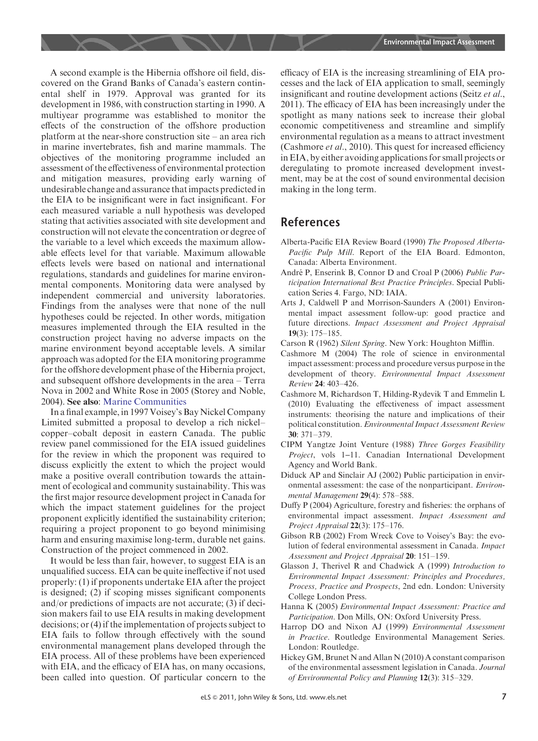A second example is the Hibernia offshore oil field, discovered on the Grand Banks of Canada's eastern continental shelf in 1979. Approval was granted for its development in 1986, with construction starting in 1990. A multiyear programme was established to monitor the effects of the construction of the offshore production platform at the near-shore construction site – an area rich in marine invertebrates, fish and marine mammals. The objectives of the monitoring programme included an assessment of the effectiveness of environmental protection and mitigation measures, providing early warning of undesirable change and assurance that impacts predicted in the EIA to be insignificant were in fact insignificant. For each measured variable a null hypothesis was developed stating that activities associated with site development and construction will not elevate the concentration or degree of the variable to a level which exceeds the maximum allowable effects level for that variable. Maximum allowable effects levels were based on national and international regulations, standards and guidelines for marine environmental components. Monitoring data were analysed by independent commercial and university laboratories. Findings from the analyses were that none of the null hypotheses could be rejected. In other words, mitigation measures implemented through the EIA resulted in the construction project having no adverse impacts on the marine environment beyond acceptable levels. A similar approach was adopted for the EIA monitoring programme for the offshore development phase of the Hibernia project, and subsequent offshore developments in the area – Terra Nova in 2002 and White Rose in 2005 (Storey and Noble, 2004). See also: [Marine Communities](http://dx.doi.org/10.1038/npg.els.0003175)

In a final example, in 1997 Voisey's Bay Nickel Company Limited submitted a proposal to develop a rich nickel– copper–cobalt deposit in eastern Canada. The public review panel commissioned for the EIA issued guidelines for the review in which the proponent was required to discuss explicitly the extent to which the project would make a positive overall contribution towards the attainment of ecological and community sustainability. This was the first major resource development project in Canada for which the impact statement guidelines for the project proponent explicitly identified the sustainability criterion; requiring a project proponent to go beyond minimising harm and ensuring maximise long-term, durable net gains. Construction of the project commenced in 2002.

It would be less than fair, however, to suggest EIA is an unqualified success. EIA can be quite ineffective if not used properly: (1) if proponents undertake EIA after the project is designed; (2) if scoping misses significant components and/or predictions of impacts are not accurate; (3) if decision makers fail to use EIA results in making development decisions; or (4) if the implementation of projects subject to EIA fails to follow through effectively with the sound environmental management plans developed through the EIA process. All of these problems have been experienced with EIA, and the efficacy of EIA has, on many occasions, been called into question. Of particular concern to the efficacy of EIA is the increasing streamlining of EIA processes and the lack of EIA application to small, seemingly insignificant and routine development actions (Seitz et al., 2011). The efficacy of EIA has been increasingly under the spotlight as many nations seek to increase their global economic competitiveness and streamline and simplify environmental regulation as a means to attract investment (Cashmore et al., 2010). This quest for increased efficiency in EIA, by either avoiding applications for small projects or deregulating to promote increased development investment, may be at the cost of sound environmental decision making in the long term.

### References

- Alberta-Pacific EIA Review Board (1990) The Proposed Alberta-Pacific Pulp Mill. Report of the EIA Board. Edmonton, Canada: Alberta Environment.
- André P, Enserink B, Connor D and Croal P (2006) Public Participation International Best Practice Principles. Special Publication Series 4. Fargo, ND: IAIA.
- Arts J, Caldwell P and Morrison-Saunders A (2001) Environmental impact assessment follow-up: good practice and future directions. Impact Assessment and Project Appraisal 19(3): 175–185.
- Carson R (1962) Silent Spring. New York: Houghton Mifflin.
- Cashmore M (2004) The role of science in environmental impact assessment: process and procedure versus purpose in the development of theory. Environmental Impact Assessment Review 24: 403–426.
- Cashmore M, Richardson T, Hilding-Rydevik T and Emmelin L (2010) Evaluating the effectiveness of impact assessment instruments: theorising the nature and implications of their political constitution. Environmental Impact Assessment Review 30: 371–379.
- CIPM Yangtze Joint Venture (1988) Three Gorges Feasibility Project, vols 1–11. Canadian International Development Agency and World Bank.
- Diduck AP and Sinclair AJ (2002) Public participation in environmental assessment: the case of the nonparticipant. Environmental Management 29(4): 578–588.
- Duffy P (2004) Agriculture, forestry and fisheries: the orphans of environmental impact assessment. Impact Assessment and Project Appraisal 22(3): 175-176.
- Gibson RB (2002) From Wreck Cove to Voisey's Bay: the evolution of federal environmental assessment in Canada. Impact Assessment and Project Appraisal 20: 151–159.
- Glasson J, Therivel R and Chadwick A (1999) Introduction to Environmental Impact Assessment: Principles and Procedures, Process, Practice and Prospects, 2nd edn. London: University College London Press.
- Hanna K (2005) Environmental Impact Assessment: Practice and Participation. Don Mills, ON: Oxford University Press.
- Harrop DO and Nixon AJ (1999) Environmental Assessment in Practice. Routledge Environmental Management Series. London: Routledge.
- Hickey GM, Brunet N and Allan N (2010) A constant comparison of the environmental assessment legislation in Canada. Journal of Environmental Policy and Planning 12(3): 315–329.